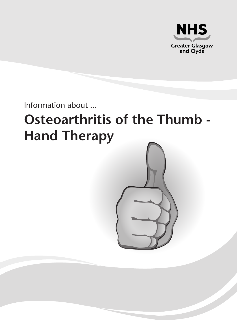

Information about ...

# **Osteoarthritis of the Thumb - Hand Therapy**

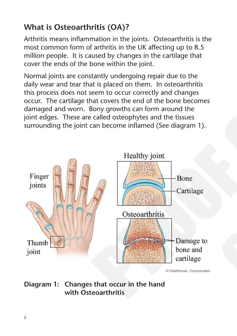# **What is Osteoarthritis (OA)?**

Arthritis means inflammation in the joints. Osteoarthritis is the most common form of arthritis in the UK affecting up to 8.5 million people. It is caused by changes in the cartilage that cover the ends of the bone within the joint.

Normal joints are constantly undergoing repair due to the daily wear and tear that is placed on them. In osteoarthritis this process does not seem to occur correctly and changes occur. The cartilage that covers the end of the bone becomes damaged and worn. Bony growths can form around the joint edges. These are called osteophytes and the tissues surrounding the joint can become inflamed (See diagram 1).



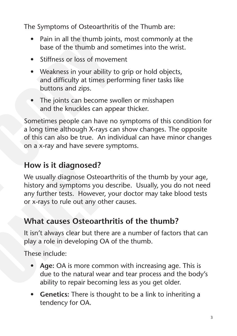The Symptoms of Osteoarthritis of the Thumb are:

- Pain in all the thumb joints, most commonly at the base of the thumb and sometimes into the wrist.
- Stiffness or loss of movement
- Weakness in your ability to grip or hold objects, and difficulty at times performing finer tasks like buttons and zips.
- The joints can become swollen or misshapen and the knuckles can appear thicker.

Sometimes people can have no symptoms of this condition for a long time although X-rays can show changes. The opposite of this can also be true. An individual can have minor changes on a x-ray and have severe symptoms.

# **How is it diagnosed?**

We usually diagnose Osteoarthritis of the thumb by your age, history and symptoms you describe. Usually, you do not need any further tests. However, your doctor may take blood tests or x-rays to rule out any other causes.

### **What causes Osteoarthritis of the thumb?**

It isn't always clear but there are a number of factors that can play a role in developing OA of the thumb.

These include:

- Age: OA is more common with increasing age. This is due to the natural wear and tear process and the body's ability to repair becoming less as you get older.
- **Genetics:** There is thought to be a link to inheriting a tendency for OA.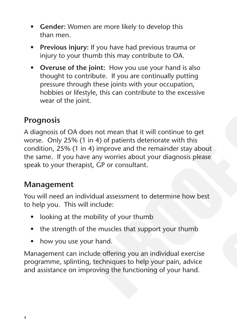- • **Gender:** Women are more likely to develop this than men.
- **Previous injury:** If you have had previous trauma or injury to your thumb this may contribute to OA.
- • **Overuse of the joint:** How you use your hand is also thought to contribute. If you are continually putting pressure through these joints with your occupation, hobbies or lifestyle, this can contribute to the excessive wear of the joint.

### **Prognosis**

A diagnosis of OA does not mean that it will continue to get worse. Only 25% (1 in 4) of patients deteriorate with this condition, 25% (1 in 4) improve and the remainder stay about the same. If you have any worries about your diagnosis please speak to your therapist, GP or consultant.

### **Management**

You will need an individual assessment to determine how best to help you. This will include:

- looking at the mobility of your thumb
- the strength of the muscles that support your thumb
- how you use your hand.

Management can include offering you an individual exercise programme, splinting, techniques to help your pain, advice and assistance on improving the functioning of your hand.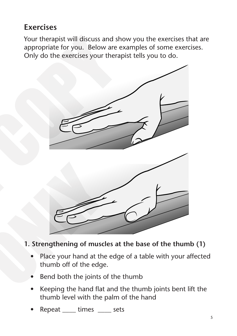# **Exercises**

Your therapist will discuss and show you the exercises that are appropriate for you. Below are examples of some exercises. Only do the exercises your therapist tells you to do.



### **1. Strengthening of muscles at the base of the thumb (1)**

- Place your hand at the edge of a table with your affected thumb off of the edge.
- Bend both the joints of the thumb
- Keeping the hand flat and the thumb joints bent lift the thumb level with the palm of the hand
- Repeat \_\_\_\_ times \_\_\_\_ sets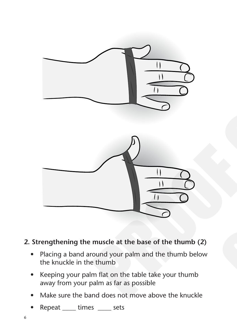

### **2. Strengthening the muscle at the base of the thumb (2)**

- Placing a band around your palm and the thumb below the knuckle in the thumb
- Keeping your palm flat on the table take your thumb away from your palm as far as possible
- Make sure the band does not move above the knuckle
- Repeat \_\_\_\_ times \_\_\_\_ sets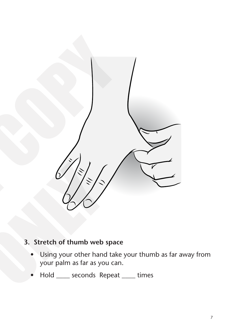

### **3. Stretch of thumb web space**

- Using your other hand take your thumb as far away from your palm as far as you can.
- Hold \_\_\_\_\_ seconds Repeat \_\_\_\_ times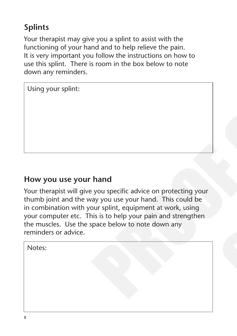# **Splints**

Your therapist may give you a splint to assist with the functioning of your hand and to help relieve the pain. It is very important you follow the instructions on how to use this splint. There is room in the box below to note down any reminders.

Using your splint:

### **How you use your hand**

Your therapist will give you specific advice on protecting your thumb joint and the way you use your hand. This could be in combination with your splint, equipment at work, using your computer etc. This is to help your pain and strengthen the muscles. Use the space below to note down any reminders or advice.

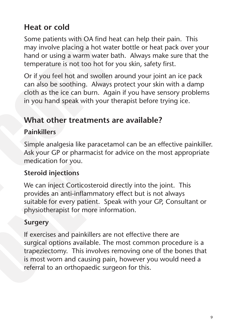# **Heat or cold**

Some patients with OA find heat can help their pain. This may involve placing a hot water bottle or heat pack over your hand or using a warm water bath. Always make sure that the temperature is not too hot for you skin, safety first.

Or if you feel hot and swollen around your joint an ice pack can also be soothing. Always protect your skin with a damp cloth as the ice can burn. Again if you have sensory problems in you hand speak with your therapist before trying ice.

### **What other treatments are available?**

#### **Painkillers**

Simple analgesia like paracetamol can be an effective painkiller. Ask your GP or pharmacist for advice on the most appropriate medication for you.

### **Steroid injections**

We can inject Corticosteroid directly into the joint. This provides an anti-inflammatory effect but is not always suitable for every patient. Speak with your GP, Consultant or physiotherapist for more information.

### **Surgery**

If exercises and painkillers are not effective there are surgical options available. The most common procedure is a trapeziectomy. This involves removing one of the bones that is most worn and causing pain, however you would need a referral to an orthopaedic surgeon for this.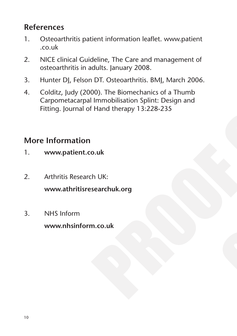# **References**

- 1. Osteoarthritis patient information leaflet. www.patient .co.uk
- 2. NICE clinical Guideline, The Care and management of osteoarthritis in adults. January 2008.
- 3. Hunter DJ, Felson DT. Osteoarthritis. BMJ, March 2006.
- 4. Colditz, Judy (2000). The Biomechanics of a Thumb Carpometacarpal Immobilisation Splint: Design and Fitting. Journal of Hand therapy 13:228-235

# **More Information**

- 1. **www.patient.co.uk**
- 2. Arthritis Research UK: **www.athritisresearchuk.org**
- 3. NHS Inform

**www.nhsinform.co.uk**